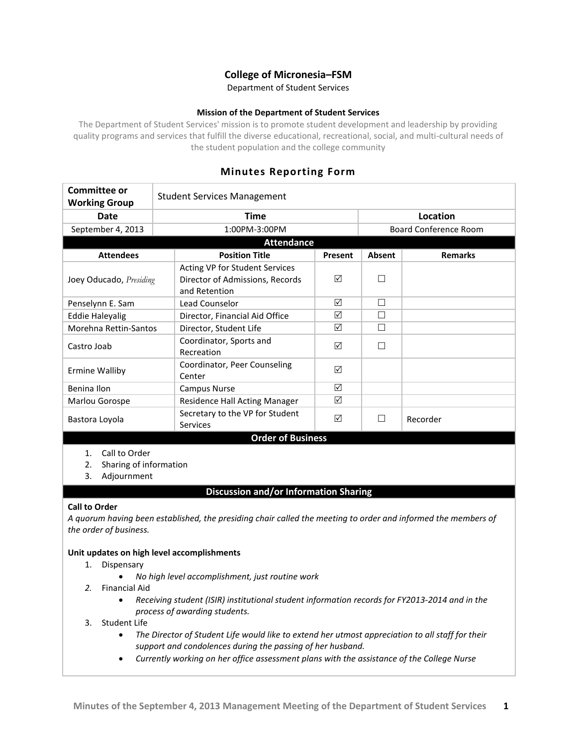# **College of Micronesia–FSM**

Department of Student Services

## **Mission of the Department of Student Services**

The Department of Student Services' mission is to promote student development and leadership by providing quality programs and services that fulfill the diverse educational, recreational, social, and multi-cultural needs of the student population and the college community

## **Minutes Reporting Form**

| Committee or<br><b>Working Group</b>                                     | <b>Student Services Management</b>                                                 |         |          |                              |  |
|--------------------------------------------------------------------------|------------------------------------------------------------------------------------|---------|----------|------------------------------|--|
| <b>Date</b>                                                              | <b>Time</b>                                                                        |         | Location |                              |  |
| September 4, 2013                                                        | 1:00PM-3:00PM                                                                      |         |          | <b>Board Conference Room</b> |  |
| <b>Attendance</b>                                                        |                                                                                    |         |          |                              |  |
| <b>Attendees</b>                                                         | <b>Position Title</b>                                                              | Present | Absent   | <b>Remarks</b>               |  |
| Joey Oducado, Presiding                                                  | Acting VP for Student Services<br>Director of Admissions, Records<br>and Retention | ☑       |          |                              |  |
| Penselynn E. Sam                                                         | Lead Counselor                                                                     | ☑       | П        |                              |  |
| <b>Eddie Haleyalig</b>                                                   | Director, Financial Aid Office                                                     | ☑       |          |                              |  |
| Morehna Rettin-Santos                                                    | Director, Student Life                                                             | ☑       |          |                              |  |
| Castro Joab                                                              | Coordinator, Sports and<br>Recreation                                              | ☑       |          |                              |  |
| Ermine Walliby                                                           | Coordinator, Peer Counseling<br>Center                                             | ☑       |          |                              |  |
| Benina Ilon                                                              | <b>Campus Nurse</b>                                                                | ☑       |          |                              |  |
| Marlou Gorospe                                                           | Residence Hall Acting Manager                                                      | ☑       |          |                              |  |
| Bastora Loyola                                                           | Secretary to the VP for Student<br><b>Services</b>                                 | ☑       |          | Recorder                     |  |
| <b>Order of Business</b>                                                 |                                                                                    |         |          |                              |  |
| Call to Order<br>1.<br>Sharing of information<br>2.<br>Adjournment<br>3. |                                                                                    |         |          |                              |  |
| <b>Discussion and/or Information Sharing</b>                             |                                                                                    |         |          |                              |  |

## **Call to Order**

*A quorum having been established, the presiding chair called the meeting to order and informed the members of the order of business.*

#### **Unit updates on high level accomplishments**

- 1. Dispensary
	- *No high level accomplishment, just routine work*
- *2.* Financial Aid
	- *Receiving student (ISIR) institutional student information records for FY2013-2014 and in the process of awarding students.*
- 3. Student Life
	- *The Director of Student Life would like to extend her utmost appreciation to all staff for their support and condolences during the passing of her husband.*
	- *Currently working on her office assessment plans with the assistance of the College Nurse*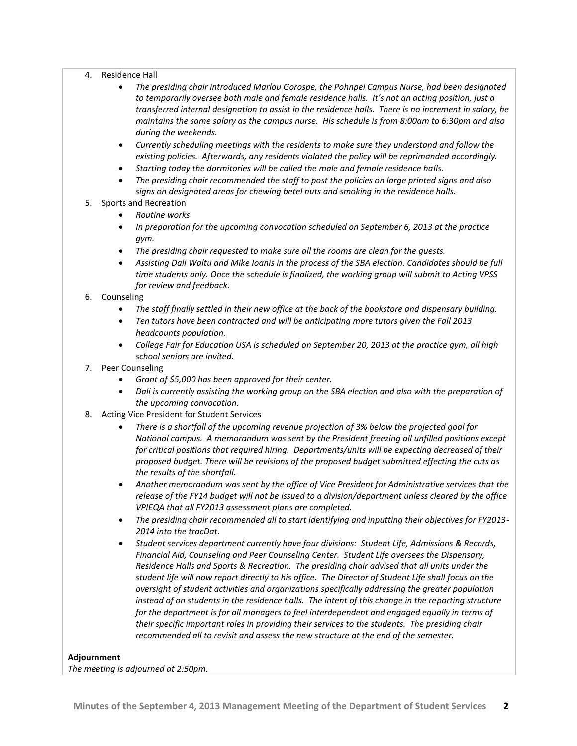#### 4. Residence Hall

- *The presiding chair introduced Marlou Gorospe, the Pohnpei Campus Nurse, had been designated to temporarily oversee both male and female residence halls. It's not an acting position, just a transferred internal designation to assist in the residence halls. There is no increment in salary, he maintains the same salary as the campus nurse. His schedule is from 8:00am to 6:30pm and also during the weekends.*
- *Currently scheduling meetings with the residents to make sure they understand and follow the existing policies. Afterwards, any residents violated the policy will be reprimanded accordingly.*
- *Starting today the dormitories will be called the male and female residence halls.*
- *The presiding chair recommended the staff to post the policies on large printed signs and also signs on designated areas for chewing betel nuts and smoking in the residence halls.*
- 5. Sports and Recreation
	- *Routine works*
	- *In preparation for the upcoming convocation scheduled on September 6, 2013 at the practice gym.*
	- *The presiding chair requested to make sure all the rooms are clean for the guests.*
	- *Assisting Dali Waltu and Mike Ioanis in the process of the SBA election. Candidates should be full time students only. Once the schedule is finalized, the working group will submit to Acting VPSS for review and feedback.*
- 6. Counseling
	- *The staff finally settled in their new office at the back of the bookstore and dispensary building.*
	- *Ten tutors have been contracted and will be anticipating more tutors given the Fall 2013 headcounts population.*
	- *College Fair for Education USA is scheduled on September 20, 2013 at the practice gym, all high school seniors are invited.*
- 7. Peer Counseling
	- *Grant of \$5,000 has been approved for their center.*
	- *Dali is currently assisting the working group on the SBA election and also with the preparation of the upcoming convocation.*
- 8. Acting Vice President for Student Services
	- *There is a shortfall of the upcoming revenue projection of 3% below the projected goal for National campus. A memorandum was sent by the President freezing all unfilled positions except for critical positions that required hiring. Departments/units will be expecting decreased of their proposed budget. There will be revisions of the proposed budget submitted effecting the cuts as the results of the shortfall.*
	- *Another memorandum was sent by the office of Vice President for Administrative services that the release of the FY14 budget will not be issued to a division/department unless cleared by the office VPIEQA that all FY2013 assessment plans are completed.*
	- *The presiding chair recommended all to start identifying and inputting their objectives for FY2013- 2014 into the tracDat.*
	- *Student services department currently have four divisions: Student Life, Admissions & Records, Financial Aid, Counseling and Peer Counseling Center. Student Life oversees the Dispensary, Residence Halls and Sports & Recreation. The presiding chair advised that all units under the student life will now report directly to his office. The Director of Student Life shall focus on the oversight of student activities and organizations specifically addressing the greater population instead of on students in the residence halls. The intent of this change in the reporting structure for the department is for all managers to feel interdependent and engaged equally in terms of their specific important roles in providing their services to the students. The presiding chair recommended all to revisit and assess the new structure at the end of the semester.*

## **Adjournment**

*The meeting is adjourned at 2:50pm.*